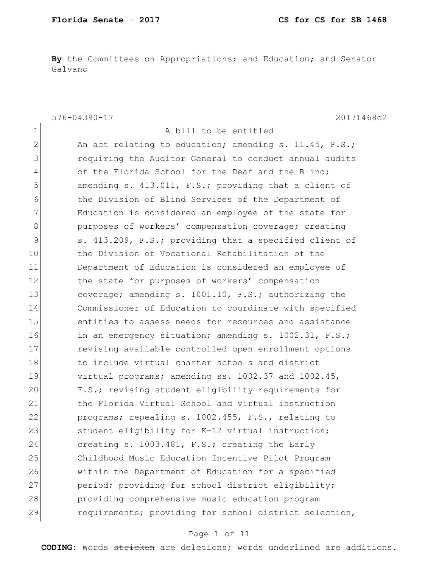1 a bill to be entitled

**By** the Committees on Appropriations; and Education; and Senator Galvano

576-04390-17 20171468c2

2 An act relating to education; amending s. 11.45, F.S.; 3 requiring the Auditor General to conduct annual audits 4 of the Florida School for the Deaf and the Blind; 5 amending s. 413.011, F.S.; providing that a client of 6 6 the Division of Blind Services of the Department of 7 The Education is considered an employee of the state for 8 **bureaution** purposes of workers' compensation coverage; creating 9 s. 413.209, F.S.; providing that a specified client of 10 10 the Division of Vocational Rehabilitation of the 11 Department of Education is considered an employee of 12 the state for purposes of workers' compensation 13 coverage; amending s. 1001.10, F.S.; authorizing the 14 Commissioner of Education to coordinate with specified 15 entities to assess needs for resources and assistance 16 in an emergency situation; amending s. 1002.31, F.S.; 17 revising available controlled open enrollment options 18 to include virtual charter schools and district 19 virtual programs; amending ss. 1002.37 and 1002.45, 20 F.S.; revising student eligibility requirements for 21 the Florida Virtual School and virtual instruction 22 programs; repealing s. 1002.455, F.S., relating to 23 Student eligibility for K-12 virtual instruction; 24 creating s. 1003.481, F.S.; creating the Early 25 Childhood Music Education Incentive Pilot Program 26 within the Department of Education for a specified 27 period; providing for school district eligibility; 28 providing comprehensive music education program 29 requirements; providing for school district selection,

#### Page 1 of 11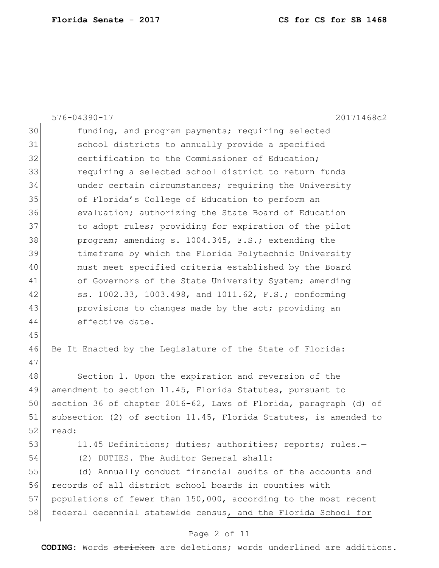|    | 576-04390-17<br>20171468c2                                       |
|----|------------------------------------------------------------------|
| 30 | funding, and program payments; requiring selected                |
| 31 | school districts to annually provide a specified                 |
| 32 | certification to the Commissioner of Education;                  |
| 33 | requiring a selected school district to return funds             |
| 34 | under certain circumstances; requiring the University            |
| 35 | of Florida's College of Education to perform an                  |
| 36 | evaluation; authorizing the State Board of Education             |
| 37 | to adopt rules; providing for expiration of the pilot            |
| 38 | program; amending s. 1004.345, F.S.; extending the               |
| 39 | timeframe by which the Florida Polytechnic University            |
| 40 | must meet specified criteria established by the Board            |
| 41 | of Governors of the State University System; amending            |
| 42 | ss. 1002.33, 1003.498, and 1011.62, F.S.; conforming             |
| 43 | provisions to changes made by the act; providing an              |
| 44 | effective date.                                                  |
| 45 |                                                                  |
| 46 | Be It Enacted by the Legislature of the State of Florida:        |
| 47 |                                                                  |
| 48 | Section 1. Upon the expiration and reversion of the              |
| 49 | amendment to section 11.45, Florida Statutes, pursuant to        |
| 50 | section 36 of chapter 2016-62, Laws of Florida, paragraph (d) of |
| 51 | subsection (2) of section 11.45, Florida Statutes, is amended to |
| 52 | read:                                                            |
| 53 | 11.45 Definitions; duties; authorities; reports; rules.-         |
| 54 | (2) DUTIES. - The Auditor General shall:                         |
| 55 | (d) Annually conduct financial audits of the accounts and        |
| 56 | records of all district school boards in counties with           |
| 57 | populations of fewer than 150,000, according to the most recent  |
| 58 | federal decennial statewide census, and the Florida School for   |
|    | Page 2 of 11                                                     |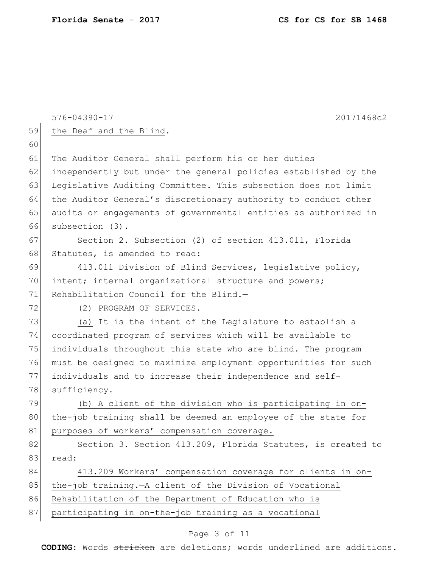|    | $576 - 04390 - 17$<br>20171468c2                                |
|----|-----------------------------------------------------------------|
| 59 | the Deaf and the Blind.                                         |
| 60 |                                                                 |
| 61 | The Auditor General shall perform his or her duties             |
| 62 | independently but under the general policies established by the |
| 63 | Legislative Auditing Committee. This subsection does not limit  |
| 64 | the Auditor General's discretionary authority to conduct other  |
| 65 | audits or engagements of governmental entities as authorized in |
| 66 | subsection (3).                                                 |
| 67 | Section 2. Subsection (2) of section 413.011, Florida           |
| 68 | Statutes, is amended to read:                                   |
| 69 | 413.011 Division of Blind Services, legislative policy,         |
| 70 | intent; internal organizational structure and powers;           |
| 71 | Rehabilitation Council for the Blind.-                          |
| 72 | (2) PROGRAM OF SERVICES.-                                       |
| 73 | (a) It is the intent of the Legislature to establish a          |
| 74 | coordinated program of services which will be available to      |
| 75 | individuals throughout this state who are blind. The program    |
| 76 | must be designed to maximize employment opportunities for such  |
| 77 | individuals and to increase their independence and self-        |
| 78 | sufficiency.                                                    |
| 79 | (b) A client of the division who is participating in on-        |
| 80 | the-job training shall be deemed an employee of the state for   |
| 81 | purposes of workers' compensation coverage.                     |
| 82 | Section 3. Section 413.209, Florida Statutes, is created to     |
| 83 | read:                                                           |
| 84 | 413.209 Workers' compensation coverage for clients in on-       |
| 85 | the-job training. - A client of the Division of Vocational      |
| 86 | Rehabilitation of the Department of Education who is            |
| 87 | participating in on-the-job training as a vocational            |
|    | Page 3 of 11                                                    |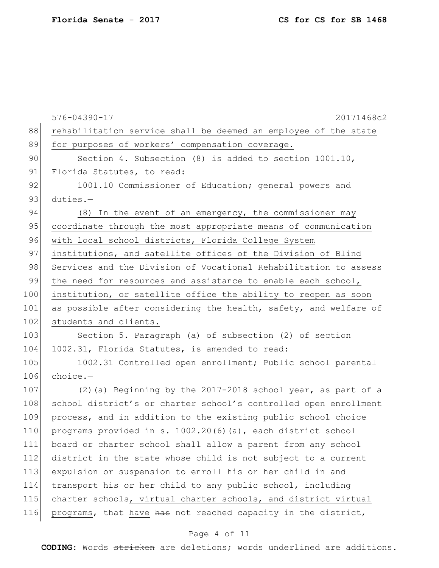|     | $576 - 04390 - 17$<br>20171468c2                                 |
|-----|------------------------------------------------------------------|
| 88  | rehabilitation service shall be deemed an employee of the state  |
| 89  | for purposes of workers' compensation coverage.                  |
| 90  | Section 4. Subsection (8) is added to section $1001.10$ ,        |
| 91  | Florida Statutes, to read:                                       |
| 92  | 1001.10 Commissioner of Education; general powers and            |
| 93  | $duties. -$                                                      |
| 94  | (8) In the event of an emergency, the commissioner may           |
| 95  | coordinate through the most appropriate means of communication   |
| 96  | with local school districts, Florida College System              |
| 97  | institutions, and satellite offices of the Division of Blind     |
| 98  | Services and the Division of Vocational Rehabilitation to assess |
| 99  | the need for resources and assistance to enable each school,     |
| 100 | institution, or satellite office the ability to reopen as soon   |
| 101 | as possible after considering the health, safety, and welfare of |
| 102 | students and clients.                                            |
| 103 | Section 5. Paragraph (a) of subsection (2) of section            |
| 104 | 1002.31, Florida Statutes, is amended to read:                   |
| 105 | 1002.31 Controlled open enrollment; Public school parental       |
| 106 | $choice. -$                                                      |
| 107 | $(2)$ (a) Beginning by the 2017-2018 school year, as part of a   |
| 108 | school district's or charter school's controlled open enrollment |
| 109 | process, and in addition to the existing public school choice    |
| 110 | programs provided in s. 1002.20(6)(a), each district school      |
| 111 | board or charter school shall allow a parent from any school     |
| 112 | district in the state whose child is not subject to a current    |
| 113 | expulsion or suspension to enroll his or her child in and        |
| 114 | transport his or her child to any public school, including       |
| 115 | charter schools, virtual charter schools, and district virtual   |
| 116 | programs, that have has not reached capacity in the district,    |
|     |                                                                  |

# Page 4 of 11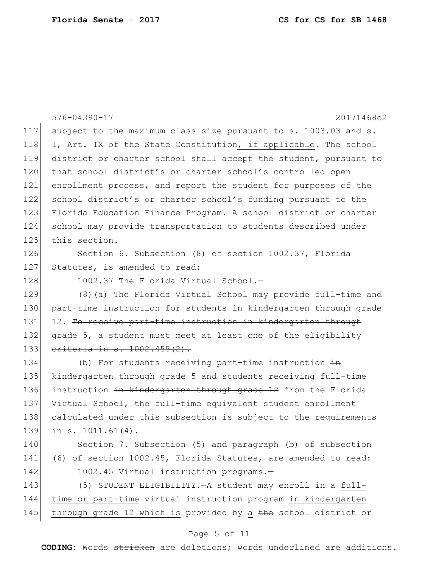|     | 576-04390-17<br>20171468c2                                       |
|-----|------------------------------------------------------------------|
| 117 | subject to the maximum class size pursuant to s. 1003.03 and s.  |
| 118 | 1, Art. IX of the State Constitution, if applicable. The school  |
| 119 | district or charter school shall accept the student, pursuant to |
| 120 | that school district's or charter school's controlled open       |
| 121 | enrollment process, and report the student for purposes of the   |
| 122 | school district's or charter school's funding pursuant to the    |
| 123 | Florida Education Finance Program. A school district or charter  |
| 124 | school may provide transportation to students described under    |
| 125 | this section.                                                    |
| 126 | Section 6. Subsection (8) of section 1002.37, Florida            |
| 127 | Statutes, is amended to read:                                    |
| 128 | 1002.37 The Florida Virtual School.-                             |
| 129 | (8) (a) The Florida Virtual School may provide full-time and     |
| 130 | part-time instruction for students in kindergarten through grade |
| 131 | 12. To receive part-time instruction in kindergarten through     |
| 132 | grade 5, a student must meet at least one of the eligibility     |
| 133 | eriteria in s. 1002.455(2).                                      |
| 134 | (b) For students receiving part-time instruction $\frac{1}{2}$   |
| 135 | kindergarten through grade 5 and students receiving full-time    |
| 136 | instruction in kindergarten through grade 12 from the Florida    |
| 137 | Virtual School, the full-time equivalent student enrollment      |
| 138 | calculated under this subsection is subject to the requirements  |
| 139 | in $s. 1011.61(4)$ .                                             |
| 140 | Section 7. Subsection (5) and paragraph (b) of subsection        |
| 141 | (6) of section 1002.45, Florida Statutes, are amended to read:   |
| 142 | 1002.45 Virtual instruction programs.-                           |
| 143 | (5) STUDENT ELIGIBILITY. - A student may enroll in a full-       |
| 144 | time or part-time virtual instruction program in kindergarten    |
| 145 | through grade 12 which is provided by a the school district or   |

# Page 5 of 11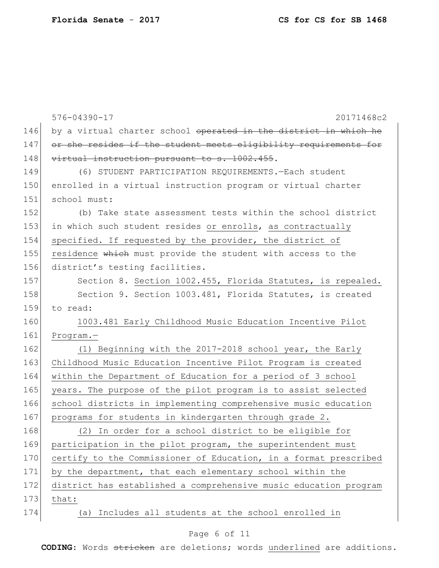|     | $576 - 04390 - 17$<br>20171468c2                                 |
|-----|------------------------------------------------------------------|
| 146 | by a virtual charter school operated in the district in which he |
| 147 | or she resides if the student meets eligibility requirements for |
| 148 | virtual instruction pursuant to s. 1002.455.                     |
| 149 | (6) STUDENT PARTICIPATION REQUIREMENTS. - Each student           |
| 150 | enrolled in a virtual instruction program or virtual charter     |
| 151 | school must:                                                     |
| 152 | (b) Take state assessment tests within the school district       |
| 153 | in which such student resides or enrolls, as contractually       |
| 154 | specified. If requested by the provider, the district of         |
| 155 | residence which must provide the student with access to the      |
| 156 | district's testing facilities.                                   |
| 157 | Section 8. Section 1002.455, Florida Statutes, is repealed.      |
| 158 | Section 9. Section 1003.481, Florida Statutes, is created        |
| 159 | to read:                                                         |
| 160 | 1003.481 Early Childhood Music Education Incentive Pilot         |
| 161 | $Program. -$                                                     |
| 162 | (1) Beginning with the 2017-2018 school year, the Early          |
| 163 | Childhood Music Education Incentive Pilot Program is created     |
| 164 | within the Department of Education for a period of 3 school      |
| 165 | years. The purpose of the pilot program is to assist selected    |
| 166 | school districts in implementing comprehensive music education   |
| 167 | programs for students in kindergarten through grade 2.           |
| 168 | In order for a school district to be eligible for<br>(2)         |
| 169 | participation in the pilot program, the superintendent must      |
| 170 | certify to the Commissioner of Education, in a format prescribed |
| 171 | by the department, that each elementary school within the        |
| 172 | district has established a comprehensive music education program |
| 173 | that:                                                            |
| 174 | Includes all students at the school enrolled in<br>(a)           |

# Page 6 of 11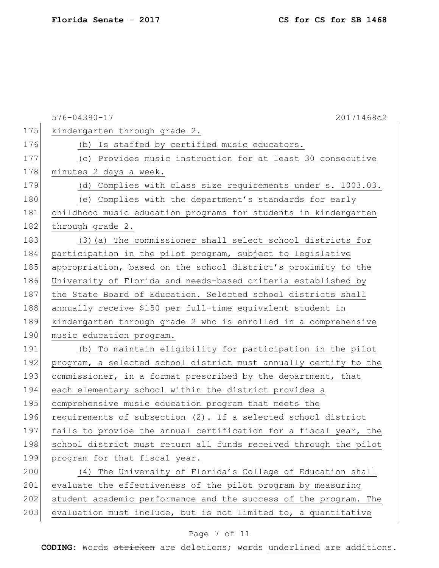|     | 576-04390-17<br>20171468c2                                       |
|-----|------------------------------------------------------------------|
| 175 | kindergarten through grade 2.                                    |
| 176 | (b) Is staffed by certified music educators.                     |
| 177 | (c) Provides music instruction for at least 30 consecutive       |
| 178 | minutes 2 days a week.                                           |
| 179 | (d) Complies with class size requirements under s. 1003.03.      |
| 180 | (e) Complies with the department's standards for early           |
| 181 | childhood music education programs for students in kindergarten  |
| 182 | through grade 2.                                                 |
| 183 | (3) (a) The commissioner shall select school districts for       |
| 184 | participation in the pilot program, subject to legislative       |
| 185 | appropriation, based on the school district's proximity to the   |
| 186 | University of Florida and needs-based criteria established by    |
| 187 | the State Board of Education. Selected school districts shall    |
| 188 | annually receive \$150 per full-time equivalent student in       |
| 189 | kindergarten through grade 2 who is enrolled in a comprehensive  |
| 190 | music education program.                                         |
| 191 | (b) To maintain eligibility for participation in the pilot       |
| 192 | program, a selected school district must annually certify to the |
| 193 | commissioner, in a format prescribed by the department, that     |
| 194 | each elementary school within the district provides a            |
| 195 | comprehensive music education program that meets the             |
| 196 | requirements of subsection (2). If a selected school district    |
| 197 | fails to provide the annual certification for a fiscal year, the |
| 198 | school district must return all funds received through the pilot |
| 199 | program for that fiscal year.                                    |
| 200 | (4) The University of Florida's College of Education shall       |
| 201 | evaluate the effectiveness of the pilot program by measuring     |
| 202 | student academic performance and the success of the program. The |
| 203 | evaluation must include, but is not limited to, a quantitative   |

# Page 7 of 11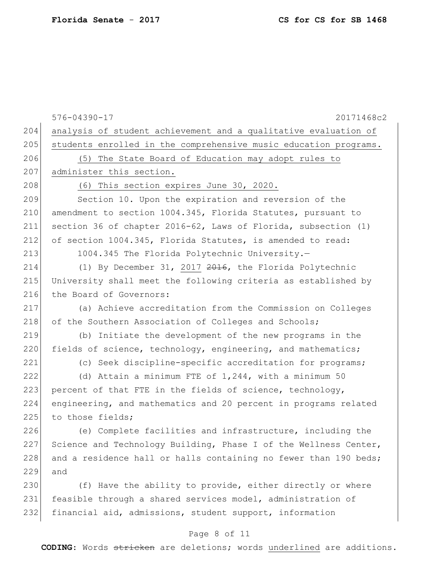|     | $576 - 04390 - 17$<br>20171468c2                                 |
|-----|------------------------------------------------------------------|
| 204 |                                                                  |
| 205 | analysis of student achievement and a qualitative evaluation of  |
|     | students enrolled in the comprehensive music education programs. |
| 206 | (5) The State Board of Education may adopt rules to              |
| 207 | administer this section.                                         |
| 208 | (6) This section expires June 30, 2020.                          |
| 209 | Section 10. Upon the expiration and reversion of the             |
| 210 | amendment to section 1004.345, Florida Statutes, pursuant to     |
| 211 | section 36 of chapter 2016-62, Laws of Florida, subsection (1)   |
| 212 | of section 1004.345, Florida Statutes, is amended to read:       |
| 213 | 1004.345 The Florida Polytechnic University.-                    |
| 214 | (1) By December 31, 2017 2016, the Florida Polytechnic           |
| 215 | University shall meet the following criteria as established by   |
| 216 | the Board of Governors:                                          |
| 217 | (a) Achieve accreditation from the Commission on Colleges        |
| 218 | of the Southern Association of Colleges and Schools;             |
| 219 | (b) Initiate the development of the new programs in the          |
| 220 | fields of science, technology, engineering, and mathematics;     |
| 221 | (c) Seek discipline-specific accreditation for programs;         |
| 222 | (d) Attain a minimum FTE of 1,244, with a minimum 50             |
| 223 | percent of that FTE in the fields of science, technology,        |
| 224 | engineering, and mathematics and 20 percent in programs related  |
| 225 | to those fields;                                                 |
| 226 | (e) Complete facilities and infrastructure, including the        |
| 227 | Science and Technology Building, Phase I of the Wellness Center, |
| 228 | and a residence hall or halls containing no fewer than 190 beds; |
| 229 | and                                                              |
| 230 | (f) Have the ability to provide, either directly or where        |
| 231 | feasible through a shared services model, administration of      |
| 232 | financial aid, admissions, student support, information          |
|     |                                                                  |

# Page 8 of 11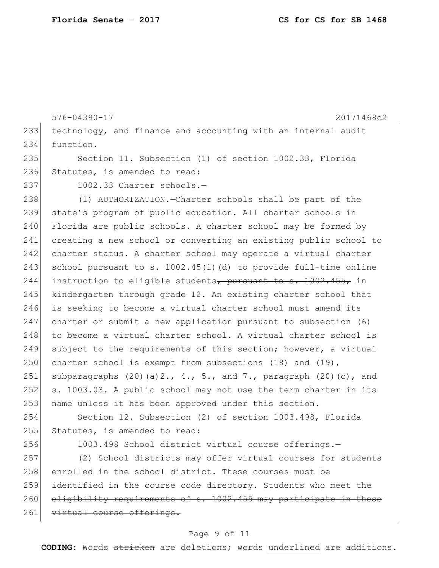576-04390-17 20171468c2 233 technology, and finance and accounting with an internal audit 234 function. 235 Section 11. Subsection (1) of section 1002.33, Florida 236 Statutes, is amended to read: 237 1002.33 Charter schools.-238 (1) AUTHORIZATION.—Charter schools shall be part of the 239 state's program of public education. All charter schools in 240 Florida are public schools. A charter school may be formed by 241 creating a new school or converting an existing public school to 242 charter status. A charter school may operate a virtual charter 243 school pursuant to s.  $1002.45(1)(d)$  to provide full-time online 244 instruction to eligible students, pursuant to  $s$ . 1002.455, in 245 kindergarten through grade 12. An existing charter school that 246 is seeking to become a virtual charter school must amend its 247 charter or submit a new application pursuant to subsection (6) 248 to become a virtual charter school. A virtual charter school is 249 subject to the requirements of this section; however, a virtual 250 charter school is exempt from subsections (18) and (19), 251 subparagraphs  $(20)(a)2., 4., 5., and 7., paragraph (20)(c), and$ 252 s. 1003.03. A public school may not use the term charter in its 253 name unless it has been approved under this section. 254 Section 12. Subsection (2) of section 1003.498, Florida 255 Statutes, is amended to read: 256 1003.498 School district virtual course offerings.-257 (2) School districts may offer virtual courses for students 258 enrolled in the school district. These courses must be 259 identified in the course code directory. Students who meet the 260 eligibility requirements of s. 1002.455 may participate in these 261 virtual course offerings.

#### Page 9 of 11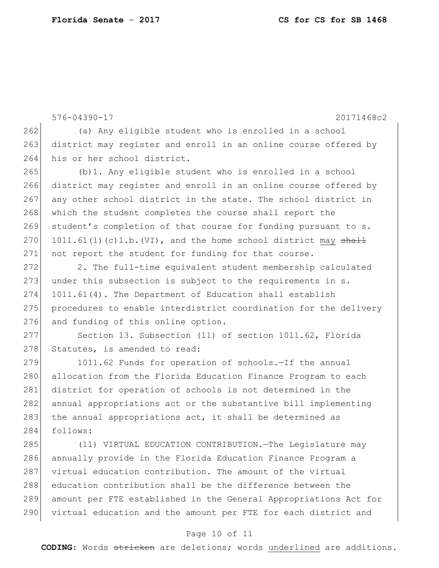576-04390-17 20171468c2 262 (a) Any eligible student who is enrolled in a school 263 district may register and enroll in an online course offered by 264 his or her school district. 265 (b)1. Any eligible student who is enrolled in a school 266 district may register and enroll in an online course offered by 267 any other school district in the state. The school district in 268 which the student completes the course shall report the 269 student's completion of that course for funding pursuant to s. 270 1011.61(1)(c)1.b.(VI), and the home school district may  $shall$ 271 not report the student for funding for that course. 272 2. The full-time equivalent student membership calculated 273 under this subsection is subject to the requirements in s. 274 1011.61(4). The Department of Education shall establish 275 procedures to enable interdistrict coordination for the delivery 276 and funding of this online option. 277 Section 13. Subsection (11) of section 1011.62, Florida 278 Statutes, is amended to read: 279 1011.62 Funds for operation of schools.-If the annual 280 allocation from the Florida Education Finance Program to each 281 district for operation of schools is not determined in the 282 annual appropriations act or the substantive bill implementing 283 the annual appropriations act, it shall be determined as 284 follows:

 (11) VIRTUAL EDUCATION CONTRIBUTION.—The Legislature may annually provide in the Florida Education Finance Program a virtual education contribution. The amount of the virtual education contribution shall be the difference between the amount per FTE established in the General Appropriations Act for virtual education and the amount per FTE for each district and

#### Page 10 of 11